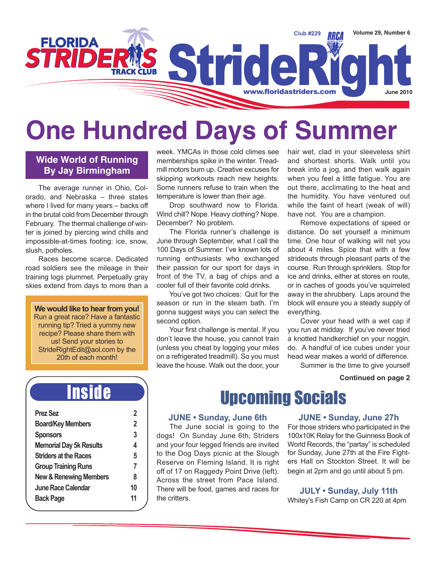

# **One Hundred Days of Summer**

#### **Wide World of Running By Jay Birmingham**

The average runner in Ohio, Colorado, and Nebraska – three states where I lived for many years – backs off in the brutal cold from December through February. The thermal challenge of winter is joined by piercing wind chills and impossible-at-times footing: ice, snow, slush, potholes.

Races become scarce. Dedicated road soldiers see the mileage in their training logs plummet. Perpetually gray skies extend from days to more than a

**We would like to hear from you!** Run a great race? Have a fantastic running tip? Tried a yummy new recipe? Please share them with us! Send your stories to StrideRightEdit@aol.com by the 20th of each month!

week. YMCAs in those cold climes see memberships spike in the winter. Treadmill motors burn up. Creative excuses for skipping workouts reach new heights. Some runners refuse to train when the temperature is lower than their age.

Drop southward now to Florida. Wind chill? Nope. Heavy clothing? Nope. December? No problem.

The Florida runner's challenge is June through September, what I call the 100 Days of Summer. I've known lots of running enthusiasts who exchanged their passion for our sport for days in front of the TV, a bag of chips and a cooler full of their favorite cold drinks.

You've got two choices: Quit for the season or run in the steam bath. I'm gonna suggest ways you can select the second option.

Your first challenge is mental. If you don't leave the house, you cannot train (unless you cheat by logging your miles on a refrigerated treadmill). So you must leave the house. Walk out the door, your hair wet, clad in your sleeveless shirt and shortest shorts. Walk until you break into a jog, and then walk again when you feel a little fatigue. You are out there, acclimating to the heat and the humidity. You have ventured out while the faint of heart (weak of will) have not. You are a champion.

Remove expectations of speed or distance. Do set yourself a minimum time. One hour of walking will net you about 4 miles. Spice that with a few strideouts through pleasant parts of the course. Run through sprinklers. Stop for ice and drinks, either at stores en route, or in caches of goods you've squirreled away in the shrubbery. Laps around the block will ensure you a steady supply of everything.

Cover your head with a wet cap if you run at midday. If you've never tried a knotted handkerchief on your noggin, do. A handful of ice cubes under your head wear makes a world of difference.

Summer is the time to give yourself

#### **Continued on page 2**

## Inside

| <b>Prez Sez</b>                   | 2  |
|-----------------------------------|----|
| <b>Board/Key Members</b>          | 2  |
| <b>Sponsors</b>                   | 3  |
| <b>Memorial Day 5k Results</b>    | 4  |
| <b>Striders at the Races</b>      | 5  |
| <b>Group Training Runs</b>        | 7  |
| <b>New &amp; Renewing Members</b> | 8  |
| <b>June Race Calendar</b>         | 10 |
| <b>Back Page</b>                  | 11 |
|                                   |    |

## Upcoming Socials

#### **JUNE • Sunday, June 6th**

The June social is going to the dogs! On Sunday June 6th, Striders and your four legged friends are invited to the Dog Days picnic at the Slough Reserve on Fleming Island. It is right off of 17 on Raggedy Point Drive (left). Across the street from Pace Island. There will be food, games and races for the critters.

#### **JUNE • Sunday, June 27h**

For those striders who participated in the 100x10K Relay for the Guinness Book of World Records, the "partay" is scheduled for Sunday, June 27th at the Fire Fighters Hall on Stockton Street. It will be begin at 2pm and go until about 5 pm.

**JULY • Sunday, July 11th** Whitey's Fish Camp on CR 220 at 4pm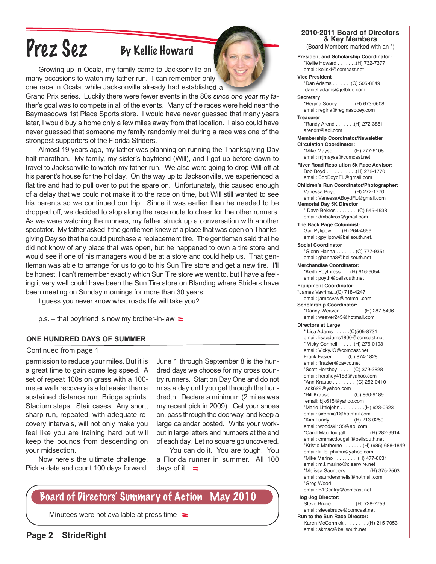# Prez Sez By Kellie Howard

Growing up in Ocala, my family came to Jacksonville on many occasions to watch my father run. I can remember only one race in Ocala, while Jacksonville already had established a

Grand Prix series. Luckily there were fewer events in the 80s since one year my father's goal was to compete in all of the events. Many of the races were held near the Baymeadows 1st Place Sports store. I would have never guessed that many years later, I would buy a home only a few miles away from that location. I also could have never guessed that someone my family randomly met during a race was one of the strongest supporters of the Florida Striders.

Almost 19 years ago, my father was planning on running the Thanksgiving Day half marathon. My family, my sister's boyfriend (Will), and I got up before dawn to travel to Jacksonville to watch my father run. We also were going to drop Will off at his parent's house for the holiday. On the way up to Jacksonville, we experienced a flat tire and had to pull over to put the spare on. Unfortunately, this caused enough of a delay that we could not make it to the race on time, but Will still wanted to see his parents so we continued our trip. Since it was earlier than he needed to be dropped off, we decided to stop along the race route to cheer for the other runners. As we were watching the runners, my father struck up a conversation with another spectator. My father asked if the gentlemen knew of a place that was open on Thanksgiving Day so that he could purchase a replacement tire. The gentleman said that he did not know of any place that was open, but he happened to own a tire store and would see if one of his managers would be at a store and could help us. That gentleman was able to arrange for us to go to his Sun Tire store and get a new tire. I'll be honest, I can't remember exactly which Sun Tire store we went to, but I have a feeling it very well could have been the Sun Tire store on Blanding where Striders have been meeting on Sunday mornings for more than 30 years.

I guess you never know what roads life will take you?

p.s. – that boyfriend is now my brother-in-law  $\equiv$ 

#### **ONE HUNDRED DAYS OF SUMMER**

#### Continued from page 1

permission to reduce your miles. But it is a great time to gain some leg speed. A set of repeat 100s on grass with a 100 meter walk recovery is a lot easier than a sustained distance run. Bridge sprints. Stadium steps. Stair cases. Any short, sharp run, repeated, with adequate recovery intervals, will not only make you feel like you are training hard but will keep the pounds from descending on your midsection.

Now here's the ultimate challenge. Pick a date and count 100 days forward.

June 1 through September 8 is the hundred days we choose for my cross country runners. Start on Day One and do not miss a day until you get through the hundredth. Declare a minimum (2 miles was my recent pick in 2009). Get your shoes on, pass through the doorway, and keep a large calendar posted. Write your workout in large letters and numbers at the end of each day. Let no square go uncovered.

You can do it. You are tough. You a Florida runner in summer. All 100 days of it.  $\equiv$ 

### Board of Directors' Summary of Action May 2010

Minutees were not available at press time  $\equiv$ 



#### **2010-2011 Board of Directors & Key Members**

(Board Members marked with an \*)

**President and Scholarship Coordinator:** \*Kellie Howard . . . . . . .(H) 732-7377 email: kellski@comcast.net

**Vice President** \*Dan Adams . . . . . . .(C) 505-8849 daniel.adams@jetblue.com

**Secretary** \*Regina Sooey . . . . . . (H) 673-0608 email: regina@reginasooey.com **Treasurer:**

\*Randy Arend . . . . . . .(H) 272-3861 arendrr@aol.com

**Membership Coordinator/Newsletter Circulation Coordinator:** \*Mike Mayse . . . . . . . .(H) 777-6108 email: mjmayse@comcast.net

**River Road Resolution 5k Race Advisor:** Bob Boyd . . . . . . . . . . .(H) 272-1770 email: BobBoydFL@gmail.com

**Children's Run Coordinator/Photographer:** Vanessa Boyd . . . . . . .(H) 272-1770 email: VanessaABoydFL@gmail.com

**Memorial Day 5K Director:**  \* Dave Bokros . . . . . . . .(C) 545-4538 email: dmbokros@gmail.com

**The Back Page Columnist:** Gail Pylipow........(H) 264-4666 email: gpylipow@bellsouth.net.

**Social Coordinator** \*Glenn Hanna . . . . . . . (C) 777-9351 email: ghanna3@bellsouth.net

**Merchandise Coordinator:** \*Keith Poythress.......(H) 616-6054 email: poyth@bellsouth.net

**Equipment Coordinator:** \*James Vavrina...(C) 718-4247 email: jamesvav@hotmail.com

**Scholarship Coordinator:** \*Danny Weaver. . . . . . . . . .(H) 287-5496 email: weaver243@hotmail.com

**Directors at Large:**

\* Lisa Adams . . . . . .(C)505-8731 email: lisaadams1800@comcast.net \* Vicky Connell . . . . . .(H) 276-0193 email: VickyJC@comcast.net Frank Fasier . . . . . .(C) 874-1828 email: ffrazier@cavco.net \*Scott Hershey . . . . . .(C) 379-2828 email: hershey4188@yahoo.com \*Ann Krause . . . . . . . . .(C) 252-0410 adk622@yahoo.com \*Bill Krause . . . . . . . . .(C) 860-9189 email: bjk615@yahoo.com \*Marie Littlejohn . . . . . . . . .(H) 923-0923 email: sirennia1@hotmail.com \*Kim Lundy . . . . . . . . .(H) 213-0250 email: woodski135@aol.com \*Carol MacDougall . . . . . . . . .(H) 282-9914 email: cmmacdougall@bellsouth.net \*Kristie Matherne . . . . . . . (H) (985) 688-1849 email: k\_lo\_phimu@yahoo.com \*Mike Marino . . . . . . . . .(H) 477-8631 email: m.t.marino@clearwire.net \*Melissa Saunders . . . . . . . . .(H) 375-2503 email: saundersmelis@hotmail.com \*Greg Wood email: B1Gcntry@comcast.net **Hog Jog Director:**

Steve Bruce . . . . . . . . .(H) 728-7759 email: stevebruce@comcast.net **Run to the Sun Race Director:**

Karen McCormick . . . . . . . . .(H) 215-7053 email: skmac@bellsouth.net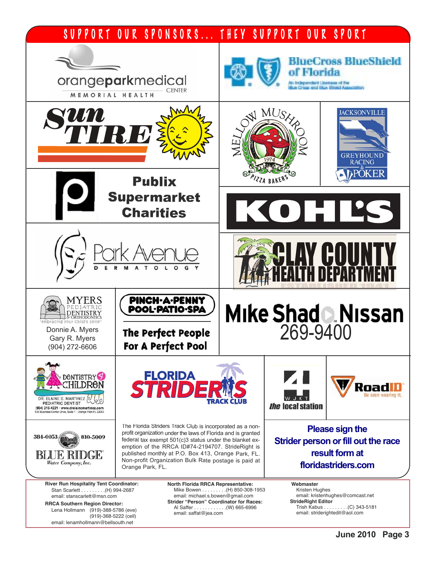### SUPPORT OUR SPONSORS... THEY SUPPORT OUR SPORT

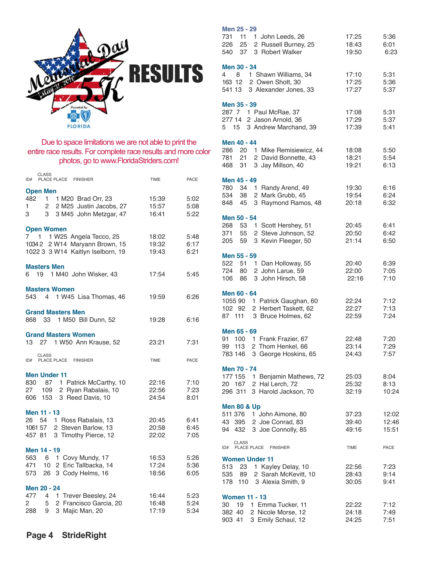

#### Due to space limitations we are not able to print the entire race results. For complete race results and more color photos, go to www.FloridaStriders.com!

| CLASS<br>PLACE PLACE<br><b>FINISHER</b><br>ID#                                                                                                      | <b>TIME</b>             | PACE                 |
|-----------------------------------------------------------------------------------------------------------------------------------------------------|-------------------------|----------------------|
| <b>Open Men</b><br>482<br>$\mathbf{1}$<br>1 M20 Brad Orr, 23<br>2 M25 Justin Jacobs, 27<br>1.<br>$\overline{2}$<br>3<br>3 M45 John Metzgar, 47<br>3 | 15:39<br>15:57<br>16:41 | 5:02<br>5:08<br>5:22 |
| <b>Open Women</b><br>$\overline{7}$<br>1<br>1 W25 Angela Tecco, 25<br>10342 2 W14 Maryann Brown, 15<br>1022 3 3 W14 Kaitlyn Iselborn, 19            | 18:02<br>19:32<br>19:43 | 5:48<br>6:17<br>6:21 |
| <b>Masters Men</b><br>19 1 M40 John Wisker, 43<br>6.                                                                                                | 17:54                   | 5:45                 |
| <b>Masters Women</b><br>543 4 1 W45 Lisa Thomas, 46                                                                                                 | 19:59                   | 6:26                 |
| <b>Grand Masters Men</b><br>868 33 1 M50 Bill Dunn, 52                                                                                              | 19:28                   | 6:16                 |
| <b>Grand Masters Women</b><br>13 27 1 W50 Ann Krause, 52                                                                                            | 23:21                   | 7:31                 |
| <b>CLASS</b><br>PLACE PLACE FINISHER<br>ID#                                                                                                         | <b>TIME</b>             | PACE                 |
| <b>Men Under 11</b><br>830 87 1 Patrick McCarthy, 10<br>27 109 2 Ryan Rabalais, 10<br>606 153 3 Reed Davis, 10                                      | 22:16<br>22:56<br>24:54 | 7:10<br>7:23<br>8:01 |
| Men 11 - 13<br>26 54 1 Ross Rabalais, 13<br>2 Steven Barlow, 13<br>1061 57<br>457 81<br>3 Timothy Pierce, 12                                        | 20:45<br>20:58<br>22:02 | 6:41<br>6:45<br>7:05 |
| Men 14 - 19<br>563 6 1 Covy Mundy, 17<br>471 10 2 Eric Tallbacka, 14<br>573 26 3 Cody Helms, 16                                                     | 16:53<br>17:24<br>18:56 | 5:26<br>5:36<br>6:05 |
| Men 20 - 24<br>477 4 1 Trever Beesley, 24<br>5 2 Francisco Garcia, 20<br>$\overline{2}$<br>288<br>9<br>3 Majic Man, 20                              | 16:44<br>16:48<br>17:19 | 5:23<br>5:24<br>5:34 |

#### **Men 25 - 29**

| 731<br>11<br>1 John Leeds, 26<br>25<br>2 Russell Burney, 25<br>226<br>37<br>3 Robert Walker<br>540 | 17:25<br>18:43<br>19:50 | 5:36<br>6:01<br>6:23 |
|----------------------------------------------------------------------------------------------------|-------------------------|----------------------|
| Men 30 - 34<br>4<br>8<br>1 Shawn Williams, 34                                                      | 17:10                   | 5:31                 |
| 2 Owen Shott, 30<br>163 12<br>3 Alexander Jones, 33<br>541 13                                      | 17:25<br>17:27          | 5:36<br>5:37         |
| Men 35 - 39<br>1 Paul McRae, 37<br>287 7                                                           | 17:08                   | 5:31                 |
| 2 Jason Arnold, 36<br>277 14<br>15 <sup>15</sup><br>3 Andrew Marchand, 39<br>5                     | 17:29<br>17:39          | 5:37<br>5:41         |
| Men 40 - 44<br>286<br>20<br>1 Mike Remisiewicz, 44                                                 | 18:08                   | 5:50                 |
| 781<br>21<br>2 David Bonnette, 43<br>3 Jay Millson, 40<br>468<br>31                                | 18:21<br>19:21          | 5:54<br>6:13         |
| Men 45 - 49<br>780<br>34<br>1 Randy Arend, 49                                                      | 19:30                   | 6:16                 |
| 38<br>2 Mark Grubb, 45<br>534<br>45<br>3 Raymond Ramos, 48<br>848                                  | 19:54<br>20:18          | 6:24<br>6:32         |
| Men 50 - 54<br>268<br>53<br>Scott Hershey, 51<br>1.                                                | 20:45                   | 6:41                 |
| 2 Steve Johnson, 52<br>55<br>371<br>59<br>3 Kevin Fleeger, 50<br>205                               | 20:50<br>21:14          | 6:42<br>6:50         |
| Men 55 - 59<br>Dan Holloway, 55<br>522<br>51<br>1.                                                 | 20:40                   | 6:39                 |
| 724<br>2 John Larue, 59<br>80<br>3 John Hirsch, 58<br>106<br>86                                    | 22:00<br>22:16          | 7:05<br>7:10         |
| Men 60 - 64<br>1055 90 1 Patrick Gaughan, 60                                                       | 22:24                   | 7:12                 |
| 102 92<br>2 Herbert Taskett, 62<br>87 111<br>3 Bruce Holmes, 62                                    | 22:27<br>22:59          | 7:13<br>7:24         |
| Men 65 - 69<br>1 Frank Frazier, 67<br>91<br>100                                                    | 22:48                   | 7:20                 |
| 99<br>2 Thom Henkel, 66<br>113<br>783 146 3 George Hoskins, 65                                     | 23:14<br>24:43          | 7:29<br>7:57         |
| Men 70 - 74<br>177 155 1 Benjamin Mathews, 72                                                      | 25:03                   | 8:04                 |
| 20 167 2 Hal Lerch, 72<br>3 Harold Jackson, 70<br>296 311                                          | 25:32<br>32:19          | 8:13<br>10:24        |
| <b>Men 80 &amp; Up</b><br>511 376 1 John Aimone, 80                                                | 37:23                   | 12:02                |
| 43 395 2 Joe Conrad, 83<br>94 432 3 Joe Connolly, 85                                               | 39:40<br>49:16          | 12:46<br>15:51       |
| <b>CLASS</b><br>PLACE PLACE<br><b>FINISHER</b><br>ID#                                              | <b>TIME</b>             | PACE                 |
| <b>Women Under 11</b><br>1 Kayley Delay, 10<br>513<br>23<br>535 89<br>2 Sarah McKevitt, 10         | 22:56<br>28:43          | 7:23<br>9:14         |
| 110 3 Alexia Smith, 9<br>178                                                                       | 30:05                   | 9:41                 |
| <b>Women 11 - 13</b><br>30 19 1 Emma Tucker, 11                                                    | 22:22                   | 7:12                 |
| 382 40 2 Nicole Morse, 12<br>3 Emily Schaul, 12<br>903 41                                          | 24:18<br>24:25          | 7:49<br>7:51         |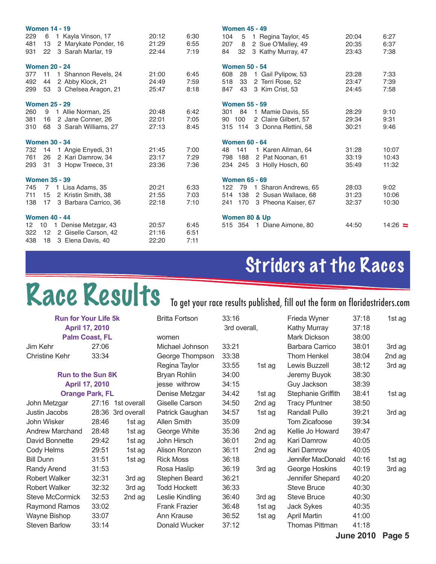|                 | <b>Women 14 - 19</b>        |       |      | <b>Women 45 - 49</b>             |       |           |
|-----------------|-----------------------------|-------|------|----------------------------------|-------|-----------|
| 229             | 6<br>1 Kayla Vinson, 17     | 20:12 | 6:30 | 104<br>5<br>1 Regina Taylor, 45  | 20:04 | 6:27      |
| 481             | 2 Marykate Ponder, 16<br>13 | 21:29 | 6:55 | 2 Sue O'Malley, 49<br>207<br>8   | 20:35 | 6:37      |
| 931             | 22 3 Sarah Marlar, 19       | 22:44 | 7:19 | 32 3 Kathy Murray, 47<br>84      | 23:43 | 7:38      |
|                 | <b>Women 20 - 24</b>        |       |      | <b>Women 50 - 54</b>             |       |           |
| 377             | 1 Shannon Revels, 24<br>11  | 21:00 | 6:45 | 1 Gail Pylipow, 53<br>608<br>-28 | 23:28 | 7:33      |
| 492             | 2 Abby Klock, 21<br>44      | 24:49 | 7:59 | 518<br>33<br>2 Terri Rose, 52    | 23:47 | 7:39      |
| 299             | 53<br>3 Chelsea Aragon, 21  | 25:47 | 8:18 | 3 Kim Crist, 53<br>847 43        | 24:45 | 7:58      |
|                 | <b>Women 25 - 29</b>        |       |      | <b>Women 55 - 59</b>             |       |           |
| 260             | 9 1 Allie Norman, 25        | 20:48 | 6:42 | 301 84 1 Mamie Davis, 55         | 28:29 | 9:10      |
| 381             | 2 Jane Conner, 26<br>16     | 22:01 | 7:05 | 90 100<br>2 Claire Gilbert, 57   | 29:34 | 9:31      |
| 310             | 68 3 Sarah Williams, 27     | 27:13 | 8:45 | 315 114 3 Donna Rettini, 58      | 30:21 | 9:46      |
|                 |                             |       |      |                                  |       |           |
|                 | <b>Women 30 - 34</b>        |       |      | <b>Women 60 - 64</b>             |       |           |
|                 | 732 14 1 Angie Enyedi, 31   | 21:45 | 7:00 | 141<br>48<br>1 Karen Allman, 64  | 31:28 | 10:07     |
| 761             | 2 Kari Damrow, 34<br>26     | 23:17 | 7:29 | 2 Pat Noonan, 61<br>798 188      | 33:19 | 10:43     |
| 293             | 3 Hopw Treece, 31<br>-31    | 23:36 | 7:36 | 3 Holly Hosch, 60<br>234 245     | 35:49 | 11:32     |
|                 | <b>Women 35 - 39</b>        |       |      | <b>Women 65 - 69</b>             |       |           |
| 745             | 7 1 Lisa Adams, 35          | 20:21 | 6:33 | 79 1 Sharon Andrews, 65<br>122   | 28:03 | 9:02      |
| 711             | 15 2 Kristin Smith, 38      | 21:55 | 7:03 | 2 Susan Wallace, 68<br>514 138   | 31:23 | 10:06     |
| 138             | 3 Barbara Carrico, 36<br>17 | 22:18 | 7:10 | 241 170<br>3 Pheona Kaiser, 67   | 32:37 | 10:30     |
|                 | <b>Women 40 - 44</b>        |       |      | Women 80 & Up                    |       |           |
| 12 <sup>2</sup> | 10 1 Denise Metzgar, 43     | 20:57 | 6:45 | 515 354 1 Diane Aimone, 80       | 44:50 | $14:26$ = |
| 322             | 12 2 Giselle Carson, 42     | 21:16 | 6:51 |                                  |       |           |
| 438             | 18 3 Elena Davis, 40        | 22:20 | 7:11 |                                  |       |           |

# Striders at the Races

# Race Results

| <b>KACE KESUITS</b>         |                |                   |                       |              |        | To get your race results published, fill out the form on floridastriders.com |       |        |
|-----------------------------|----------------|-------------------|-----------------------|--------------|--------|------------------------------------------------------------------------------|-------|--------|
| <b>Run for Your Life 5k</b> |                |                   | <b>Britta Fortson</b> | 33:16        |        | Frieda Wyner                                                                 | 37:18 | 1st ag |
|                             | April 17, 2010 |                   |                       | 3rd overall, |        | Kathy Murray                                                                 | 37:18 |        |
| <b>Palm Coast, FL</b>       |                |                   | women                 |              |        | <b>Mark Dickson</b>                                                          | 38:00 |        |
| Jim Kehr                    | 27:06          |                   | Michael Johnson       | 33:21        |        | Barbara Carrico                                                              | 38:01 | 3rd ag |
| <b>Christine Kehr</b>       | 33:34          |                   | George Thompson       | 33:38        |        | <b>Thom Henkel</b>                                                           | 38:04 | 2nd ag |
|                             |                |                   | Regina Taylor         | 33:55        | 1st ag | Lewis Buzzell                                                                | 38:12 | 3rd ag |
| <b>Run to the Sun 8K</b>    |                |                   | <b>Bryan Rohlin</b>   | 34:00        |        | Jeremy Buyok                                                                 | 38:30 |        |
|                             | April 17, 2010 |                   | jesse withrow         | 34:15        |        | Guy Jackson                                                                  | 38:39 |        |
| <b>Orange Park, FL</b>      |                |                   | Denise Metzgar        | 34:42        | 1st ag | Stephanie Griffith                                                           | 38:41 | 1st ag |
| John Metzgar                | 27:16          | 1st overall       | <b>Giselle Carson</b> | 34:50        | 2nd ag | <b>Tracy Pfuntner</b>                                                        | 38:50 |        |
| Justin Jacobs               |                | 28:36 3rd overall | Patrick Gaughan       | 34:57        | 1st ag | <b>Randall Pullo</b>                                                         | 39:21 | 3rd ag |
| John Wisker                 | 28:46          | 1st ag            | <b>Allen Smith</b>    | 35:09        |        | Tom Zicafoose                                                                | 39:34 |        |
| <b>Andrew Marchand</b>      | 28:48          | 1st ag            | George White          | 35:36        | 2nd ag | Kellie Jo Howard                                                             | 39:47 |        |
| David Bonnette              | 29:42          | 1st ag            | John Hirsch           | 36:01        | 2nd ag | Kari Damrow                                                                  | 40:05 |        |
| Cody Helms                  | 29:51          | 1st ag            | Alison Ronzon         | 36:11        | 2nd ag | Kari Damrow                                                                  | 40:05 |        |
| <b>Bill Dunn</b>            | 31:51          | 1st ag            | <b>Rick Moss</b>      | 36:18        |        | Jennifer MacDonald                                                           | 40:16 | 1st ag |
| Randy Arend                 | 31:53          |                   | Rosa Haslip           | 36:19        | 3rd ag | George Hoskins                                                               | 40:19 | 3rd ag |
| Robert Walker               | 32:31          | 3rd ag            | Stephen Beard         | 36:21        |        | Jennifer Shepard                                                             | 40:20 |        |
| <b>Robert Walker</b>        | 32:32          | 3rd ag            | <b>Todd Hockett</b>   | 36:33        |        | <b>Steve Bruce</b>                                                           | 40:30 |        |
| <b>Steve McCormick</b>      | 32:53          | 2nd ag            | Leslie Kindling       | 36:40        | 3rd ag | <b>Steve Bruce</b>                                                           | 40:30 |        |
| Raymond Ramos               | 33:02          |                   | <b>Frank Frazier</b>  | 36:48        | 1st ag | Jack Sykes                                                                   | 40:35 |        |
| Wayne Bishop                | 33:07          |                   | Ann Krause            | 36:52        | 1st ag | April Martin                                                                 | 41:00 |        |
| <b>Steven Barlow</b>        | 33:14          |                   | Donald Wucker         | 37:12        |        | <b>Thomas Pittman</b>                                                        | 41:18 |        |
|                             |                |                   |                       |              |        |                                                                              |       |        |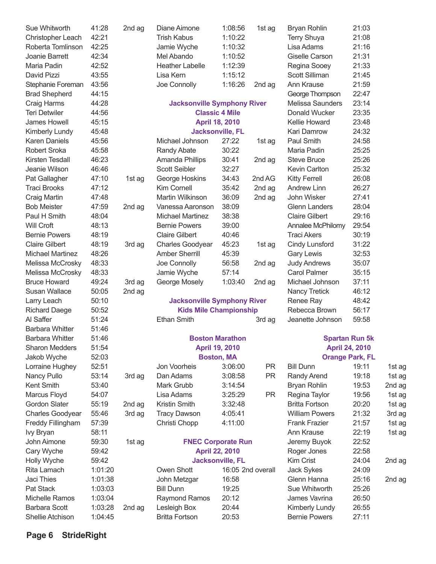| Sue Whitworth           | 41:28   | 2nd ag | Diane Aimone                       | 1:08:56                                         | 1st ag            | <b>Bryan Rohlin</b>   | 21:03                                          |        |
|-------------------------|---------|--------|------------------------------------|-------------------------------------------------|-------------------|-----------------------|------------------------------------------------|--------|
| Christopher Leach       | 42:21   |        | <b>Trish Kabus</b>                 | 1:10:22                                         |                   | <b>Terry Shuya</b>    | 21:08                                          |        |
| Roberta Tomlinson       | 42:25   |        | Jamie Wyche                        | 1:10:32                                         |                   | Lisa Adams            | 21:16                                          |        |
| Joanie Barrett          | 42:34   |        | Mel Abando                         | 1:10:52                                         |                   | <b>Giselle Carson</b> | 21:31                                          |        |
| Maria Padin             | 42:52   |        | <b>Heather Labelle</b>             | 1:12:39                                         |                   | Regina Sooey          | 21:33                                          |        |
| David Pizzi             | 43:55   |        | Lisa Kern                          | 1:15:12                                         |                   | Scott Silliman        | 21:45                                          |        |
| Stephanie Foreman       | 43:56   |        | Joe Connolly                       | 1:16:26                                         | 2nd ag            | Ann Krause            | 21:59                                          |        |
| <b>Brad Shepherd</b>    | 44:15   |        |                                    |                                                 |                   | George Thompson       | 22:47                                          |        |
| Craig Harms             | 44:28   |        | <b>Jacksonville Symphony River</b> |                                                 |                   | Melissa Saunders      | 23:14                                          |        |
| <b>Teri Detwiler</b>    | 44:56   |        |                                    | <b>Classic 4 Mile</b>                           |                   | Donald Wucker         | 23:35                                          |        |
| James Howell            | 45:15   |        |                                    | <b>April 18, 2010</b>                           |                   | Kellie Howard         | 23:48                                          |        |
| Kimberly Lundy          | 45:48   |        |                                    | <b>Jacksonville, FL</b>                         |                   | Kari Damrow           | 24:32                                          |        |
| <b>Karen Daniels</b>    | 45:56   |        | Michael Johnson                    | 27:22                                           | 1st ag            | Paul Smith            | 24:58                                          |        |
| Robert Sroka            | 45:58   |        | Randy Abate                        | 30:22                                           |                   | Maria Padin           | 25:25                                          |        |
| Kirsten Tesdall         | 46:23   |        | Amanda Phillips                    | 30:41                                           | 2nd ag            | <b>Steve Bruce</b>    | 25:26                                          |        |
| Jeanie Wilson           | 46:46   |        | <b>Scott Seibler</b>               | 32:27                                           |                   | Kevin Carlton         | 25:32                                          |        |
| Pat Gallagher           | 47:10   | 1st ag | George Hoskins                     | 34:43                                           | 2nd AG            | <b>Kitty Ferrell</b>  | 26:08                                          |        |
| <b>Traci Brooks</b>     | 47:12   |        | Kim Cornell                        | 35:42                                           | 2nd ag            | Andrew Linn           | 26:27                                          |        |
| Craig Martin            | 47:48   |        | Martin Wilkinson                   | 36:09                                           | 2nd ag            | John Wisker           | 27:41                                          |        |
| <b>Bob Meister</b>      | 47:59   | 2nd ag | Vanessa Aaronson                   | 38:09                                           |                   | <b>Glenn Landers</b>  | 28:04                                          |        |
| Paul H Smith            | 48:04   |        | <b>Michael Martinez</b>            | 38:38                                           |                   | <b>Claire Gilbert</b> | 29:16                                          |        |
| Will Croft              | 48:13   |        | <b>Bernie Powers</b>               | 39:00                                           |                   | Annalee McPhilomy     | 29:54                                          |        |
| <b>Bernie Powers</b>    | 48:19   |        | <b>Claire Gilbert</b>              | 40:46                                           |                   | <b>Traci Akers</b>    | 30:19                                          |        |
| <b>Claire Gilbert</b>   | 48:19   | 3rd ag | <b>Charles Goodyear</b>            | 45:23                                           | 1st ag            | Cindy Lunsford        | 31:22                                          |        |
| <b>Michael Martinez</b> | 48:26   |        | <b>Amber Sherrill</b>              | 45:39                                           |                   | <b>Gary Lewis</b>     | 32:53                                          |        |
| Melissa McCrosky        | 48:33   |        | Joe Connolly                       | 56:58                                           | 2nd ag            | <b>Judy Andrews</b>   | 35:07                                          |        |
| Melissa McCrosky        | 48:33   |        | Jamie Wyche                        | 57:14                                           |                   | <b>Carol Palmer</b>   | 35:15                                          |        |
| <b>Bruce Howard</b>     | 49:24   | 3rd ag | George Mosely                      | 1:03:40                                         | 2nd ag            | Michael Johnson       | 37:11                                          |        |
| <b>Susan Wallace</b>    | 50:05   | 2nd ag |                                    |                                                 |                   | <b>Nancy Tretick</b>  | 46:12                                          |        |
| Larry Leach             | 50:10   |        | <b>Jacksonville Symphony River</b> |                                                 |                   | Renee Ray             | 48:42                                          |        |
| <b>Richard Daege</b>    | 50:52   |        | <b>Kids Mile Championship</b>      |                                                 |                   | Rebecca Brown         | 56:17                                          |        |
| Al Saffer               | 51:24   |        | <b>Ethan Smith</b>                 |                                                 |                   | Jeanette Johnson      | 59:58                                          |        |
| <b>Barbara Whitter</b>  | 51:46   |        |                                    |                                                 | 3rd ag            |                       |                                                |        |
| <b>Barbara Whitter</b>  |         |        |                                    |                                                 |                   |                       |                                                |        |
| <b>Sharon Medders</b>   | 51:46   |        |                                    | <b>Boston Marathon</b><br><b>April 19, 2010</b> |                   |                       | <b>Spartan Run 5k</b><br><b>April 24, 2010</b> |        |
|                         | 51:54   |        |                                    |                                                 |                   |                       |                                                |        |
| Jakob Wyche             | 52:03   |        |                                    | <b>Boston, MA</b>                               |                   |                       | <b>Orange Park, FL</b>                         |        |
| Lorraine Hughey         | 52:51   |        | Jon Voorheis                       | 3:06:00                                         | <b>PR</b>         | <b>Bill Dunn</b>      | 19:11                                          | 1st ag |
| Nancy Pullo             | 53:14   | 3rd ag | Dan Adams                          | 3:08:58                                         | <b>PR</b>         | Randy Arend           | 19:18                                          | 1st ag |
| Kent Smith              | 53:40   |        | Mark Grubb                         | 3:14:54                                         |                   | Bryan Rohlin          | 19:53                                          | 2nd ag |
| Marcus Floyd            | 54:07   |        | Lisa Adams                         | 3:25:29                                         | <b>PR</b>         | Regina Taylor         | 19:56                                          | 1st ag |
| <b>Gordon Slater</b>    | 55:19   | 2nd ag | Kristin Smith                      | 3:32:48                                         |                   | <b>Britta Fortson</b> | 20:20                                          | 1st ag |
| <b>Charles Goodyear</b> | 55:46   | 3rd ag | <b>Tracy Dawson</b>                | 4:05:41                                         |                   | <b>William Powers</b> | 21:32                                          | 3rd ag |
| Freddy Fillingham       | 57:39   |        | Christi Chopp                      | 4:11:00                                         |                   | <b>Frank Frazier</b>  | 21:57                                          | 1st ag |
| Ivy Bryan               | 58:11   |        |                                    |                                                 |                   | Ann Krause            | 22:19                                          | 1st ag |
| John Aimone             | 59:30   | 1st ag | <b>FNEC Corporate Run</b>          |                                                 |                   | Jeremy Buyok          | 22:52                                          |        |
| Cary Wyche              | 59:42   |        |                                    | <b>April 22, 2010</b>                           |                   | Roger Jones           | 22:58                                          |        |
| Holly Wyche             | 59:42   |        |                                    | <b>Jacksonville, FL</b>                         |                   | Kim Crist             | 24:04                                          | 2nd ag |
| Rita Lamach             | 1:01:20 |        | Owen Shott                         |                                                 | 16:05 2nd overall | Jack Sykes            | 24:09                                          |        |
| Jaci Thies              | 1:01:38 |        | John Metzgar                       | 16:58                                           |                   | Glenn Hanna           | 25:16                                          | 2nd ag |
| Pat Stack               | 1:03:03 |        | <b>Bill Dunn</b>                   | 19:25                                           |                   | Sue Whitworth         | 25:26                                          |        |
| <b>Michelle Ramos</b>   | 1:03:04 |        | Raymond Ramos                      | 20:12                                           |                   | James Vavrina         | 26:50                                          |        |
| <b>Barbara Scott</b>    | 1:03:28 | 2nd ag | Lesleigh Box                       | 20:44                                           |                   | Kimberly Lundy        | 26:55                                          |        |
| Shellie Atchison        | 1:04:45 |        | <b>Britta Fortson</b>              | 20:53                                           |                   | <b>Bernie Powers</b>  | 27:11                                          |        |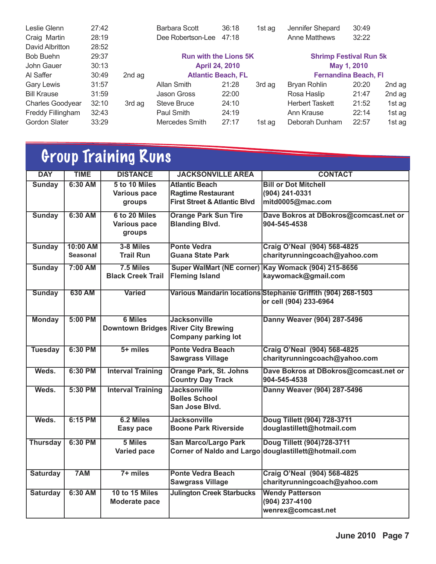| Leslie Glenn         | 27:42 |        | <b>Barbara Scott</b>         | 36:18 | 1st ag | Jennifer Shepard              | 30:49       |        |
|----------------------|-------|--------|------------------------------|-------|--------|-------------------------------|-------------|--------|
| Craig Martin         | 28:19 |        | Dee Robertson-Lee            | 47:18 |        | <b>Anne Matthews</b>          | 32:22       |        |
| David Albritton      | 28:52 |        |                              |       |        |                               |             |        |
| <b>Bob Buehn</b>     | 29:37 |        | <b>Run with the Lions 5K</b> |       |        | <b>Shrimp Festival Run 5k</b> |             |        |
| John Gauer           | 30:13 |        | <b>April 24, 2010</b>        |       |        |                               | May 1, 2010 |        |
| Al Saffer            | 30:49 | 2nd ag | <b>Atlantic Beach, FL</b>    |       |        | <b>Fernandina Beach, FI</b>   |             |        |
| <b>Gary Lewis</b>    | 31:57 |        | Allan Smith                  | 21:28 | 3rd ag | Bryan Rohlin                  | 20:20       | 2nd ag |
| <b>Bill Krause</b>   | 31:59 |        | <b>Jason Gross</b>           | 22:00 |        | Rosa Haslip                   | 21:47       | 2nd ag |
| Charles Goodyear     | 32:10 | 3rd ag | <b>Steve Bruce</b>           | 24:10 |        | <b>Herbert Taskett</b>        | 21:52       | 1st ag |
| Freddy Fillingham    | 32:43 |        | Paul Smith                   | 24:19 |        | Ann Krause                    | 22:14       | 1st ag |
| <b>Gordon Slater</b> | 33:29 |        | Mercedes Smith               | 27:17 | 1st ag | Deborah Dunham                | 22:57       | 1st ag |

## Group Training Runs

| <b>DAY</b>      | <b>TIME</b>     | <b>DISTANCE</b>                     | <b>JACKSONVILLE AREA</b>                | <b>CONTACT</b>                                               |
|-----------------|-----------------|-------------------------------------|-----------------------------------------|--------------------------------------------------------------|
| <b>Sunday</b>   | 6:30 AM         | 5 to 10 Miles                       | <b>Atlantic Beach</b>                   | <b>Bill or Dot Mitchell</b>                                  |
|                 |                 | <b>Various pace</b>                 | <b>Ragtime Restaurant</b>               | (904) 241-0331                                               |
|                 |                 | groups                              | <b>First Street &amp; Atlantic Blvd</b> | mitd0005@mac.com                                             |
| <b>Sunday</b>   | 6:30 AM         | 6 to 20 Miles                       | <b>Orange Park Sun Tire</b>             | Dave Bokros at DBokros@comcast.net or                        |
|                 |                 | <b>Various pace</b>                 | <b>Blanding Blvd.</b>                   | 904-545-4538                                                 |
|                 |                 | groups                              |                                         |                                                              |
| <b>Sunday</b>   | 10:00 AM        | 3-8 Miles                           | <b>Ponte Vedra</b>                      | <b>Craig O'Neal (904) 568-4825</b>                           |
|                 | <b>Seasonal</b> | <b>Trail Run</b>                    | Guana State Park                        | charityrunningcoach@yahoo.com                                |
| <b>Sunday</b>   | 7:00 AM         | 7.5 Miles                           |                                         | Super WalMart (NE corner) Kay Womack (904) 215-8656          |
|                 |                 | <b>Black Creek Trail</b>            | <b>Fleming Island</b>                   | kaywomack@gmail.com                                          |
| <b>Sunday</b>   | 630 AM          | <b>Varied</b>                       |                                         | Various Mandarin locations Stephanie Griffith (904) 268-1503 |
|                 |                 |                                     |                                         | or cell (904) 233-6964                                       |
|                 |                 |                                     |                                         |                                                              |
| <b>Monday</b>   | $5:00$ PM       | <b>6 Miles</b>                      | <b>Jacksonville</b>                     | Danny Weaver (904) 287-5496                                  |
|                 |                 | Downtown Bridges River City Brewing |                                         |                                                              |
|                 |                 |                                     | <b>Company parking lot</b>              |                                                              |
| <b>Tuesday</b>  | 6:30 PM         | $5+$ miles                          | <b>Ponte Vedra Beach</b>                | Craig O'Neal (904) 568-4825                                  |
|                 |                 |                                     | <b>Sawgrass Village</b>                 | charityrunningcoach@yahoo.com                                |
| Weds.           | 6:30 PM         | <b>Interval Training</b>            | <b>Orange Park, St. Johns</b>           | Dave Bokros at DBokros@comcast.net or                        |
|                 |                 |                                     | <b>Country Day Track</b>                | 904-545-4538                                                 |
| Weds.           | 5:30 PM         | <b>Interval Training</b>            | <b>Jacksonville</b>                     | Danny Weaver (904) 287-5496                                  |
|                 |                 |                                     | <b>Bolles School</b>                    |                                                              |
|                 |                 |                                     | San Jose Blvd.                          |                                                              |
| Weds.           | 6:15 PM         | 6.2 Miles                           | <b>Jacksonville</b>                     | Doug Tillett (904) 728-3711                                  |
|                 |                 | <b>Easy pace</b>                    | <b>Boone Park Riverside</b>             | douglastillett@hotmail.com                                   |
| <b>Thursday</b> | 6:30 PM         | 5 Miles                             | <b>San Marco/Largo Park</b>             | Doug Tillett (904)728-3711                                   |
|                 |                 | Varied pace                         |                                         | Corner of Naldo and Largo douglastillett@hotmail.com         |
|                 |                 |                                     |                                         |                                                              |
| <b>Saturday</b> | 7AM             | $7+$ miles                          | <b>Ponte Vedra Beach</b>                | <b>Craig O'Neal (904) 568-4825</b>                           |
|                 |                 |                                     | <b>Sawgrass Village</b>                 | charityrunningcoach@yahoo.com                                |
| <b>Saturday</b> | 6:30 AM         | 10 to 15 Miles                      | <b>Julington Creek Starbucks</b>        | <b>Wendy Patterson</b>                                       |
|                 |                 | <b>Moderate pace</b>                |                                         | (904) 237-4100                                               |
|                 |                 |                                     |                                         | wenrex@comcast.net                                           |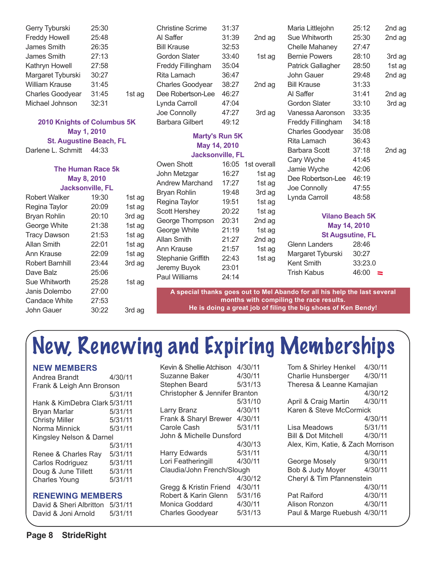| Gerry Tyburski          | 25:30 |        |
|-------------------------|-------|--------|
| <b>Freddy Howell</b>    | 25:48 |        |
| James Smith             | 26:35 |        |
| James Smith             | 27:13 |        |
| Kathryn Howell          | 27:58 |        |
| Margaret Tyburski       | 30:27 |        |
| <b>William Krause</b>   | 31:45 |        |
| <b>Charles Goodyear</b> | 31:45 | 1st ag |
| Michael Johnson         | 32:31 |        |
|                         |       |        |

#### **2010 Knights of Columbus 5K May 1, 2010 St. Augustine Beach, FL**

Darlene L. Schmitt 44:33

| <b>The Human Race 5k</b> |                         |        |  |  |  |
|--------------------------|-------------------------|--------|--|--|--|
| May 8, 2010              |                         |        |  |  |  |
|                          | <b>Jacksonville, FL</b> |        |  |  |  |
| Robert Walker            | 19:30                   | 1st ag |  |  |  |
| Regina Taylor            | 20:09                   | 1st ag |  |  |  |
| <b>Bryan Rohlin</b>      | 20:10                   | 3rd ag |  |  |  |
| George White             | 21:38                   | 1st ag |  |  |  |
| <b>Tracy Dawson</b>      | 21:53                   | 1st ag |  |  |  |
| Allan Smith              | 22:01                   | 1st ag |  |  |  |
| Ann Krause               | 22:09                   | 1st ag |  |  |  |
| Robert Barnhill          | 23:44                   | 3rd ag |  |  |  |
| Dave Balz                | 25:06                   |        |  |  |  |
| Sue Whitworth            | 25:28                   | 1st ag |  |  |  |
| Janis Dolembo            | 27:00                   |        |  |  |  |
| Candace White            | 27:53                   |        |  |  |  |
| John Gauer               | 30:22                   | 3rd ag |  |  |  |
|                          |                         |        |  |  |  |

| Christine Scrime         | 31:37 |        |
|--------------------------|-------|--------|
| Al Saffer                | 31:39 | 2nd ag |
| <b>Bill Krause</b>       | 32:53 |        |
| Gordon Slater            | 33:40 | 1st ag |
| <b>Freddy Fillingham</b> | 35:04 |        |
| Rita Lamach              | 36:47 |        |
| <b>Charles Goodyear</b>  | 38:27 | 2nd ag |
| Dee Robertson-Lee        | 46:27 |        |
| Lynda Carroll            | 47:04 |        |
| Joe Connolly             | 47:27 | 3rd ag |
| Barbara Gilbert          | 49:12 |        |
|                          |       |        |

#### **Marty's Run 5K May 14, 2010 Jacksonville, FL**

| Owen Shott                | 16:05 | 1st overall |
|---------------------------|-------|-------------|
| John Metzgar              | 16:27 | 1st ag      |
| <b>Andrew Marchand</b>    | 17:27 | 1st ag      |
| <b>Bryan Rohlin</b>       | 19:48 | 3rd ag      |
| Regina Taylor             | 19:51 | 1st ag      |
| Scott Hershey             | 20:22 | 1st ag      |
| George Thompson           | 20:31 | 2nd ag      |
| George White              | 21:19 | 1st ag      |
| Allan Smith               | 21:27 | 2nd ag      |
| Ann Krause                | 21:57 | 1st ag      |
| <b>Stephanie Griffith</b> | 22:43 | 1st ag      |
| Jeremy Buyok              | 23:01 |             |
| <b>Paul Williams</b>      | 24:14 |             |
|                           |       |             |

| Maria Littlejohn         | 25:12 | 2nd ag |
|--------------------------|-------|--------|
| Sue Whitworth            | 25:30 | 2nd ag |
| Chelle Mahaney           | 27:47 |        |
| <b>Bernie Powers</b>     | 28:10 | 3rd ag |
| <b>Patrick Gallagher</b> | 28:50 | 1st ag |
| John Gauer               | 29:48 | 2nd ag |
| <b>Bill Krause</b>       | 31:33 |        |
| Al Saffer                | 31:41 | 2nd ag |
| Gordon Slater            | 33:10 | 3rd ag |
| Vanessa Aaronson         | 33:35 |        |
| <b>Freddy Fillingham</b> | 34:18 |        |
| <b>Charles Goodyear</b>  | 35:08 |        |
| Rita Lamach              | 36:43 |        |
| <b>Barbara Scott</b>     | 37:18 | 2nd ag |
| Cary Wyche               | 41:45 |        |
| Jamie Wyche              | 42:06 |        |
| Dee Robertson-Lee        | 46:19 |        |
| Joe Connolly             | 47:55 |        |
| Lynda Carroll            | 48:58 |        |
|                          |       |        |
|                          |       |        |

#### **Vilano Beach 5K May 14, 2010 St Augsutine, FL**

|                      | $9.7.099980097 = 7$ |
|----------------------|---------------------|
| <b>Glenn Landers</b> | 28:46               |
| Margaret Tyburski    | 30:27               |
| Kent Smith           | 33:23.0             |
| Trish Kabus          | 46:00<br>$\equiv$   |

**A special thanks goes out to Mel Abando for all his help the last several months with compiling the race results. He is doing a great job of filing the big shoes of Ken Bendy!**

# New, Renewing and Expiring Memberships

| Andrea Brandt                 | 4/30/11 |  |
|-------------------------------|---------|--|
| Frank & Leigh Ann Bronson     |         |  |
|                               | 5/31/11 |  |
| Hank & KimDebra Clark 5/31/11 |         |  |
| Bryan Marlar                  | 5/31/11 |  |
| <b>Christy Miller</b>         | 5/31/11 |  |
| Norma Minnick                 | 5/31/11 |  |
| Kingsley Nelson & Darnel      |         |  |
|                               | 5/31/11 |  |
| Renee & Charles Ray           | 5/31/11 |  |
| Carlos Rodriguez              | 5/31/11 |  |
| Doug & June Tillett           | 5/31/11 |  |
| <b>Charles Young</b>          | 5/31/11 |  |
|                               |         |  |

#### **RENEWING MEMBERS**

David & Sheri Albritton 5/31/11 David & Joni Arnold 5/31/11

| Kevin & Shellie Atchison 4/30/11<br>Suzanne Baker | 4/30/11 |  |
|---------------------------------------------------|---------|--|
| Stephen Beard                                     | 5/31/13 |  |
| Christopher & Jennifer Branton                    |         |  |
|                                                   | 5/31/10 |  |
| Larry Branz                                       | 4/30/11 |  |
| Frank & Sharyl Brewer 4/30/11                     |         |  |
| Carole Cash                                       | 5/31/11 |  |
| John & Michelle Dunsford                          |         |  |
|                                                   | 4/30/13 |  |
| <b>Harry Edwards</b>                              | 5/31/11 |  |
| Lori Featheringill                                | 4/30/11 |  |
| Claudia/John French/Slough                        |         |  |
|                                                   | 4/30/12 |  |
| Gregg & Kristin Friend                            | 4/30/11 |  |
| Robert & Karin Glenn                              | 5/31/16 |  |
| Monica Goddard                                    | 4/30/11 |  |
| <b>Charles Goodyear</b>                           | 5/31/13 |  |
|                                                   |         |  |

| Tom & Shirley Henkel              | 4/30/11 |  |
|-----------------------------------|---------|--|
| Charlie Hunsberger                | 4/30/11 |  |
| Theresa & Leanne Kamajian         |         |  |
|                                   | 4/30/12 |  |
| April & Craig Martin              | 4/30/11 |  |
| Karen & Steve McCormick           |         |  |
|                                   | 4/30/11 |  |
| Lisa Meadows                      | 5/31/11 |  |
| Bill & Dot Mitchell               | 4/30/11 |  |
| Alex, Kim, Katie, & Zach Morrison |         |  |
|                                   | 4/30/11 |  |
| George Mosely                     | 9/30/11 |  |
| Bob & Judy Moyer                  | 4/30/11 |  |
| Cheryl & Tim Pfannenstein         |         |  |
|                                   | 4/30/11 |  |
| <b>Pat Raiford</b>                | 4/30/11 |  |
| Alison Ronzon                     | 4/30/11 |  |
| Paul & Marge Ruebush 4/30/11      |         |  |
|                                   |         |  |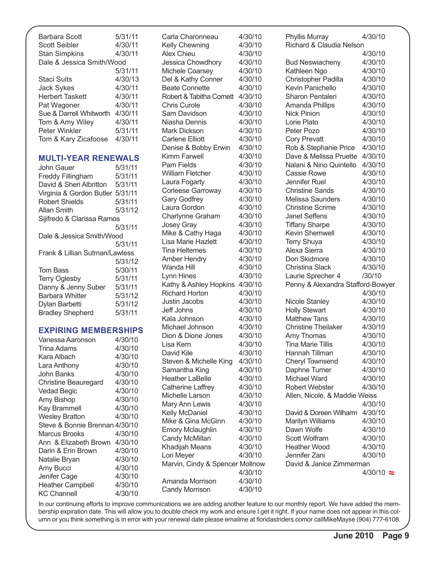| Barbara Scott<br><b>Scott Seibler</b> | 5/31/11<br>4/30/11 |  |
|---------------------------------------|--------------------|--|
| <b>Stan Simpkins</b>                  | 4/30/11            |  |
| Dale & Jessica Smith/Wood             |                    |  |
|                                       | 5/31/11            |  |
| Staci Suits                           | 4/30/13            |  |
| <b>Jack Sykes</b>                     | 4/30/11            |  |
| <b>Herbert Taskett</b>                | 4/30/11            |  |
| Pat Wagoner                           | 4/30/11            |  |
| Sue & Darrell Whitworth               | 4/30/11            |  |
| Tom & Amy Wiley                       | 4/30/11            |  |
| Peter Winkler                         | 5/31/11            |  |
| Tom & Kary Zicafoose                  | 4/30/11            |  |

#### **MULTI-YEAR RENEWALS**

| John Gauer                       | 5/31/11 |  |
|----------------------------------|---------|--|
| <b>Freddy Fillingham</b>         | 5/31/11 |  |
| David & Sheri Albritton          | 5/31/11 |  |
| Virginia & Gordon Butler 5/31/11 |         |  |
| <b>Robert Shields</b>            | 5/31/11 |  |
| <b>Allan Smith</b>               | 5/31/12 |  |
| Sijifredo & Clarissa Ramos       |         |  |
|                                  | 5/31/11 |  |
| Dale & Jessica Smith/Wood        |         |  |
|                                  | 5/31/11 |  |
| Frank & Lillian Sutman/Lawless   |         |  |
|                                  | 5/31/12 |  |
| Tom Bass                         | 5/30/11 |  |
| <b>Terry Oglesby</b>             | 5/31/11 |  |
| Danny & Jenny Suber              | 5/31/11 |  |
| <b>Barbara Whitter</b>           | 5/31/12 |  |
| Dylan Barbetti                   | 5/31/12 |  |
| <b>Bradley Shepherd</b>          | 5/31/11 |  |
|                                  |         |  |

#### **EXPIRING MEMBERSHIPS**

| Vanessa Aaronson               | 4/30/10 |
|--------------------------------|---------|
| Trina Adams                    | 4/30/10 |
| Kara Albach                    | 4/30/10 |
| Lara Anthony                   | 4/30/10 |
| John Banks                     | 4/30/10 |
| Christine Beauregard           | 4/30/10 |
| Vedad Begic                    | 4/30/10 |
| Amy Bishop                     | 4/30/10 |
| <b>Kay Brammell</b>            | 4/30/10 |
| <b>Wesley Bratton</b>          | 4/30/10 |
| Steve & Bonnie Brennan 4/30/10 |         |
| Marcus Brooks                  | 4/30/10 |
| Ann & Elizabeth Brown          | 4/30/10 |
| Darin & Erin Brown             | 4/30/10 |
| Natalie Bryan                  | 4/30/10 |
| Amy Bucci                      | 4/30/10 |
| Jenifer Cage                   | 4/30/10 |
| <b>Heather Campbell</b>        | 4/30/10 |
| KC Channell                    | 4/30/10 |
|                                |         |

Carla Charonneau 4/30/10 Kelly Chewning 4/30/10 Alex Chieu 4/30/10 Jessica Chowdhory 4/30/10 Michele Coarsey 4/30/10 Del & Kathy Conner 4/30/10 Beate Connette 4/30/10 Robert & Tabitha Cornett 4/30/10 Chris Curole 4/30/10 Sam Davidson 4/30/10 Niasha Dennis 4/30/10 Mark Dickson 4/30/10 Carlene Filiott 4/30/10 Denise & Bobby Erwin 4/30/10 Kimm Farwell 4/30/10 Pam Fields 4/30/10 William Fletcher 4/30/10 Laura Fogarty 4/30/10 Corleese Garroway 4/30/10 Gary Godfrey 4/30/10 Laura Gordon 4/30/10 Charlynne Graham 4/30/10 Josey Gray 4/30/10 Mike & Cathy Haga 4/30/10 Lisa Marie Hazlett 4/30/10 Tina Heltemes 4/30/10 Amber Hendry 4/30/10 Wanda Hill 4/30/10 Lynn Hines 4/30/10 Kathy & Ashley Hopkins 4/30/10 Richard Horton 4/30/10 Justin Jacobs 4/30/10 Jeff Johns 4/30/10 Kala Johnson 4/30/10 Michael Johnson 4/30/10 Dion & Dione Jones 4/30/10 Lisa Kern 4/30/10 David Kile 4/30/10 Steven & Michelle King 4/30/10 Samantha King 4/30/10 Heather LaBelle 4/30/10 Catherine Laffrey 4/30/10 Michelle Larson 4/30/10 Mary Ann Lewis 4/30/10 Kelly McDaniel 4/30/10 Mike & Gina McGinn 4/30/10 Emory Mclaughlin 4/30/10 Candy McMillan 4/30/10 Khadijah Means 4/30/10 Lori Meyer 4/30/10 Marvin, Cindy & Spencer Mollnow 4/30/10 Amanda Morrison 4/30/10 Candy Morrison 4/30/10

Phyllis Murray 4/30/10 Richard & Claudia Nelson 4/30/10 Bud Neswiacheny 4/30/10 Kathleen Ngo 4/30/10 Christopher Padilla 4/30/10 Kevin Panichello 4/30/10 Sharon Pentaleri 4/30/10 Amanda Phillips 4/30/10 Nick Pinion 4/30/10 Lorie Plato 4/30/10 Peter Pozo 4/30/10 Cory Prevatt 4/30/10 Rob & Stephanie Price 4/30/10 Dave & Melissa Pruette 4/30/10 Nalani & Nino Quintello 4/30/10 Cassie Rowe 4/30/10 Jennifer Ruel 4/30/10 Christine Sands 4/30/10 Melissa Saunders 4/30/10 Christine Scrime 4/30/10 Janet Seffens 4/30/10 Tiffany Sharpe 4/30/10 Kevin Shemwell 4/30/10 Terry Shuya 4/30/10 Alexa Sierra 4/30/10 Don Skidmore 4/30/10 Christina Slack 4/30/10 Laurie Sprecher 4 /30/10 Penny & Alexandra Stafford-Bowyer 4/30/10 Nicole Stanley 4/30/10 Holly Stewart 4/30/10 Matthew Tans 4/30/10 Christine Theilaker 4/30/10 Amy Thomas 4/30/10 Tina Marie Tillis 4/30/10 Hannah Tillman 4/30/10 Cheryl Townsend 4/30/10 Daphne Turner 4/30/10 Michael Ward 4/30/10 Robert Webster 4/30/10 Allen, Nicole, & Maddie Weiss 4/30/10 David & Doreen Wilharm 4/30/10 Marilyn Williams 4/30/10 Dawn Wolfe 4/30/10 Scott Wolfram 4/30/10 Heather Wood 4/30/10 Jennifer Zani 4/30/10 David & Janice Zimmerman  $4/30/10 =$ 

In our continuing efforts to improve communications we are adding another feature to our monthly report. We have added the membership expiration date. This will allow you to double check my work and ensure I get it right. If your name does not appear in this column or you think something is in error with your renewal date please emailme at floridastriders.comor callMikeMayse (904) 777-6108.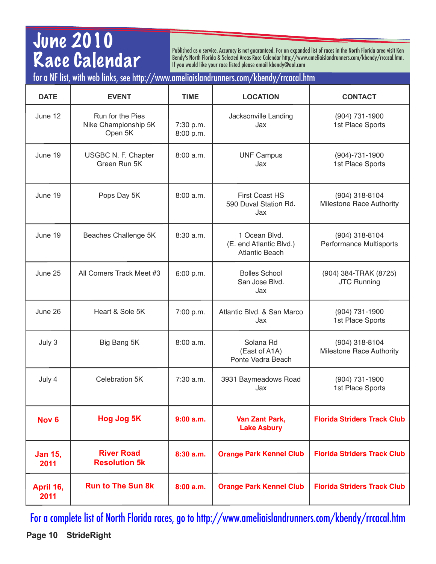## June 2010 Race Calendar

Published as a service. Accuracy is not guaranteed. For an expanded list of races in the North Florida area visit Ken Bendy's North Florida & Selected Areas Race Calendar [http://www.ameliaislandrunners.com/kbendy/rrcacal.htm.](http://www.ameliaislandrunners.com/kbendy/rrcacal.htm) If you would like your race listed please email kbendy@aol.com

### for a NF list, with web links, see<http://www.ameliaislandrunners.com/kbendy/rrcacal.htm>

| <b>DATE</b>            | <b>EVENT</b>                                        | <b>TIME</b>            | <b>LOCATION</b>                                                   | <b>CONTACT</b>                                    |
|------------------------|-----------------------------------------------------|------------------------|-------------------------------------------------------------------|---------------------------------------------------|
| June 12                | Run for the Pies<br>Nike Championship 5K<br>Open 5K | 7:30 p.m.<br>8:00 p.m. | Jacksonville Landing<br>Jax                                       | (904) 731-1900<br>1st Place Sports                |
| June 19                | USGBC N. F. Chapter<br>Green Run 5K                 | 8:00 a.m.              | <b>UNF Campus</b><br>Jax                                          | $(904) - 731 - 1900$<br>1st Place Sports          |
| June 19                | Pops Day 5K                                         | 8:00 a.m.              | <b>First Coast HS</b><br>590 Duval Station Rd.<br>Jax             | (904) 318-8104<br><b>Milestone Race Authority</b> |
| June 19                | Beaches Challenge 5K                                | 8:30 a.m.              | 1 Ocean Blvd.<br>(E. end Atlantic Blvd.)<br><b>Atlantic Beach</b> | (904) 318-8104<br><b>Performance Multisports</b>  |
| June 25                | All Comers Track Meet #3                            | 6:00 p.m.              | <b>Bolles School</b><br>San Jose Blvd.<br>Jax                     | (904) 384-TRAK (8725)<br><b>JTC Running</b>       |
| June 26                | Heart & Sole 5K                                     | 7:00 p.m.              | Atlantic Blvd. & San Marco<br>Jax                                 | (904) 731-1900<br>1st Place Sports                |
| July 3                 | Big Bang 5K                                         | 8:00 a.m.              | Solana Rd<br>(East of A1A)<br>Ponte Vedra Beach                   | (904) 318-8104<br><b>Milestone Race Authority</b> |
| July 4                 | Celebration 5K                                      | $7:30$ a.m.            | 3931 Baymeadows Road<br>Jax                                       | (904) 731-1900<br>1st Place Sports                |
| Nov <sub>6</sub>       | Hog Jog 5K                                          | 9:00a.m.               | Van Zant Park,<br><b>Lake Asbury</b>                              | <b>Florida Striders Track Club</b>                |
| <b>Jan 15,</b><br>2011 | <b>River Road</b><br><b>Resolution 5k</b>           | 8:30a.m.               | <b>Orange Park Kennel Club</b>                                    | <b>Florida Striders Track Club</b>                |
| April 16,<br>2011      | <b>Run to The Sun 8k</b>                            | 8:00a.m.               | <b>Orange Park Kennel Club</b>                                    | <b>Florida Striders Track Club</b>                |

**Page 10 StrideRight** For a complete list of North Florida races, go to<http://www.ameliaislandrunners.com/kbendy/rrcacal.htm>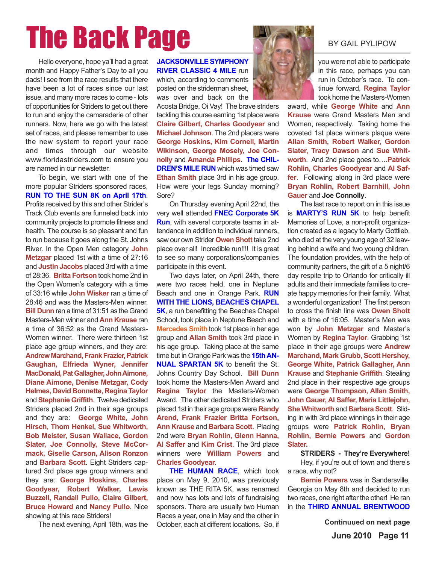# The Back Page By BY GAIL PYLIPOW

Hello everyone, hope ya'll had a great month and Happy Father's Day to all you dads! I see from the race results that there have been a lot of races since our last issue, and many more races to come - lots of opportunities for Striders to get out there to run and enjoy the camaraderie of other runners. Now, here we go with the latest set of races, and please remember to use the new system to report your race and times through our website www.floridastriders.com to ensure you are named in our newsletter.

To begin, we start with one of the more popular Striders sponsored races, **RUN TO THE SUN 8K on April 17th**. Profits received by this and other Strider's Track Club events are funneled back into community projects to promote fitness and health. The course is so pleasant and fun to run because it goes along the St. Johns River. In the Open Men category **John Metzgar** placed 1st with a time of 27:16 and **Justin Jacobs** placed 3rd with a time of 28:36. **Britta Fortson** took home 2nd in the Open Women's category with a time of 33:16 while **John Wisker** ran a time of 28:46 and was the Masters-Men winner. **Bill Dunn** ran a time of 31:51 as the Grand Masters-Men winner and **Ann Krause** ran a time of 36:52 as the Grand Masters-Women winner. There were thirteen 1st place age group winners, and they are: **Andrew Marchand, Frank Frazier, Patrick Gaughan, Elfrieda Wyner, Jennifer MacDonald, Pat Gallagher, John Aimone, Diane Aimone, Denise Metzgar, Cody Helmes, David Bonnette, Regina Taylor** and **Stephanie Griffith**. Twelve dedicated Striders placed 2nd in their age groups and they are: **George White, John Hirsch, Thom Henkel, Sue Whitworth, Bob Meister, Susan Wallace, Gordon** Slater, Joe Connolly, Steve McCor**mack, Giselle Carson, Alison Ronzon** and **Barbara Scott**. Eight Striders captured 3rd place age group winners and they are: **George Hoskins, Charles Goodyear, Robert Walker, Lewis Buzzell, Randall Pullo, Claire Gilbert, Bruce Howard** and **Nancy Pullo**. Nice showing at this race Striders!

The next evening, April 18th, was the

**JACKSONVILLE SYMPHONY RIVER CLASSIC 4 MILE** run which, according to comments posted on the striderman sheet, was over and back on the

Acosta Bridge, Oi Vay! The brave striders tackling this course earning 1st place were **Claire Gilbert, Charles Goodyear** and **Michael Johnson**. The 2nd placers were **George Hoskins, Kim Cornell, Martin Wikinson, George Mosely, Joe Connolly** and **Amanda Phillips**. **The CHIL-DREN'S MILE RUN** which was timed saw **Ethan Smith** place 3rd in his age group. How were your legs Sunday morning? Sore?

On Thursday evening April 22nd, the very well attended **FNEC Corporate 5K Run**, with several corporate teams in attendance in addition to individual runners, saw our own Strider **Owen Shott** take 2nd place over all! Incredible run!!!! It is great to see so many corporations/companies participate in this event.

Two days later, on April 24th, there were two races held, one in Neptune Beach and one in Orange Park. **RUN WITH THE LIONS, BEACHES CHAPEL 5K**, a run benefitting the Beaches Chapel School, took place in Neptune Beach and **Mercedes Smith** took 1st place in her age group and **Allan Smith** took 3rd place in his age group. Taking place at the same time but in Orange Park was the **15th AN-NUAL SPARTAN 5K** to benefit the St. Johns Country Day School. **Bill Dunn** took home the Masters-Men Award and **Regina Taylor** the Masters-Women Award. The other dedicated Striders who placed 1st in their age groups were **Randy Arend, Frank Frazier Britta Fortson, Ann Krause** and **Barbara Scott**. Placing 2nd were **Bryan Rohlin, Glenn Hanna, Al Saffer** and **Kim Crist**. The 3rd place winners were **William Powers** and **Charles Goodyear**.

**THE HUMAN RACE**, which took place on May 9, 2010, was previously known as THE RITA 5K, was renamed and now has lots and lots of fundraising sponsors. There are usually two Human Races a year, one in May and the other in October, each at different locations. So, if



you were not able to participate in this race, perhaps you can run in October's race. To continue forward, **Regina Taylor** took home the Masters-Women

award, while **George White** and **Ann Krause** were Grand Masters Men and Women, respectively. Taking home the coveted 1st place winners plaque were **Allan Smith, Robert Walker, Gordon Slater, Tracy Dawson** and **Sue Whitworth**. And 2nd place goes to….**Patrick Rohlin, Charles Goodyear** and **Al Saffer**. Following along in 3rd place were **Bryan Rohlin, Robert Barnhill, John Gauer** and **Joe Connolly**.

The last race to report on in this issue is **MARTY'S RUN 5K** to help benefit Memories of Love, a non-profit organization created as a legacy to Marty Gottlieb, who died at the very young age of 32 leaving behind a wife and two young children. The foundation provides, with the help of community partners, the gift of a 5 night/6 day respite trip to Orlando for critically ill adults and their immediate families to create happy memories for their family. What a wonderful organization! The first person to cross the finish line was **Owen Shott** with a time of 16:05. Master's Men was won by **John Metzgar** and Master's Women by **Regina Taylor**. Grabbing 1st place in their age groups were **Andrew Marchand, Mark Grubb, Scott Hershey, George White, Patrick Gallagher, Ann Krause** and **Stephanie Griffith**. Stealing 2nd place in their respective age groups were **George Thompson, Allan Smith, John Gauer, Al Saffer, Maria Littlejohn, She Whitworth** and **Barbara Scott**. Sliding in with 3rd place winnings in their age groups were **Patrick Rohlin, Bryan Rohlin, Bernie Powers** and **Gordon Slater.**

#### **STRIDERS - They're Everywhere!**

Hey, if you're out of town and there's a race, why not?

**Bernie Powers** was in Sandersville, Georgia on May 8th and decided to run two races, one right after the other! He ran in the **THIRD ANNUAL BRENTWOOD**

**Continuued on next page**